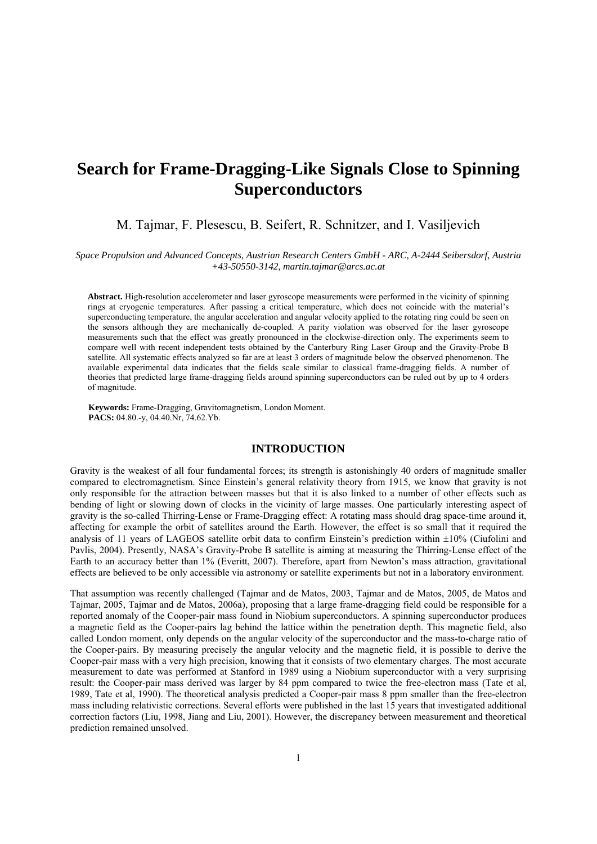# **Search for Frame-Dragging-Like Signals Close to Spinning Superconductors**

## M. Tajmar, F. Plesescu, B. Seifert, R. Schnitzer, and I. Vasiljevich

*Space Propulsion and Advanced Concepts, Austrian Research Centers GmbH - ARC, A-2444 Seibersdorf, Austria +43-50550-3142, martin.tajmar@arcs.ac.at* 

**Abstract.** High-resolution accelerometer and laser gyroscope measurements were performed in the vicinity of spinning rings at cryogenic temperatures. After passing a critical temperature, which does not coincide with the material's superconducting temperature, the angular acceleration and angular velocity applied to the rotating ring could be seen on the sensors although they are mechanically de-coupled. A parity violation was observed for the laser gyroscope measurements such that the effect was greatly pronounced in the clockwise-direction only. The experiments seem to compare well with recent independent tests obtained by the Canterbury Ring Laser Group and the Gravity-Probe B satellite. All systematic effects analyzed so far are at least 3 orders of magnitude below the observed phenomenon. The available experimental data indicates that the fields scale similar to classical frame-dragging fields. A number of theories that predicted large frame-dragging fields around spinning superconductors can be ruled out by up to 4 orders of magnitude.

**Keywords:** Frame-Dragging, Gravitomagnetism, London Moment. **PACS:** 04.80.-y, 04.40.Nr, 74.62.Yb.

## **INTRODUCTION**

Gravity is the weakest of all four fundamental forces; its strength is astonishingly 40 orders of magnitude smaller compared to electromagnetism. Since Einstein's general relativity theory from 1915, we know that gravity is not only responsible for the attraction between masses but that it is also linked to a number of other effects such as bending of light or slowing down of clocks in the vicinity of large masses. One particularly interesting aspect of gravity is the so-called Thirring-Lense or Frame-Dragging effect: A rotating mass should drag space-time around it, affecting for example the orbit of satellites around the Earth. However, the effect is so small that it required the analysis of 11 years of LAGEOS satellite orbit data to confirm Einstein's prediction within ±10% (Ciufolini and Pavlis, 2004). Presently, NASA's Gravity-Probe B satellite is aiming at measuring the Thirring-Lense effect of the Earth to an accuracy better than 1% (Everitt, 2007). Therefore, apart from Newton's mass attraction, gravitational effects are believed to be only accessible via astronomy or satellite experiments but not in a laboratory environment.

That assumption was recently challenged (Tajmar and de Matos, 2003, Tajmar and de Matos, 2005, de Matos and Tajmar, 2005, Tajmar and de Matos, 2006a), proposing that a large frame-dragging field could be responsible for a reported anomaly of the Cooper-pair mass found in Niobium superconductors. A spinning superconductor produces a magnetic field as the Cooper-pairs lag behind the lattice within the penetration depth. This magnetic field, also called London moment, only depends on the angular velocity of the superconductor and the mass-to-charge ratio of the Cooper-pairs. By measuring precisely the angular velocity and the magnetic field, it is possible to derive the Cooper-pair mass with a very high precision, knowing that it consists of two elementary charges. The most accurate measurement to date was performed at Stanford in 1989 using a Niobium superconductor with a very surprising result: the Cooper-pair mass derived was larger by 84 ppm compared to twice the free-electron mass (Tate et al, 1989, Tate et al, 1990). The theoretical analysis predicted a Cooper-pair mass 8 ppm smaller than the free-electron mass including relativistic corrections. Several efforts were published in the last 15 years that investigated additional correction factors (Liu, 1998, Jiang and Liu, 2001). However, the discrepancy between measurement and theoretical prediction remained unsolved.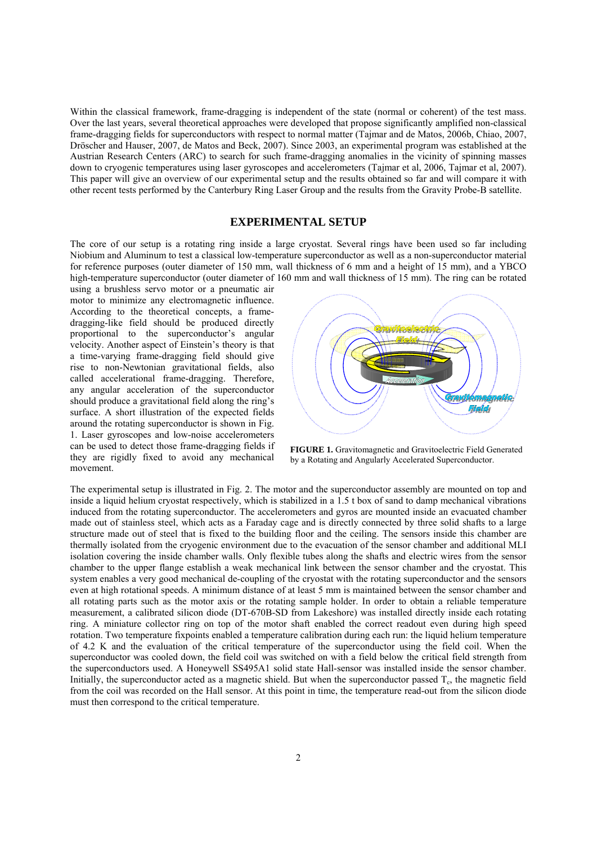Within the classical framework, frame-dragging is independent of the state (normal or coherent) of the test mass. Over the last years, several theoretical approaches were developed that propose significantly amplified non-classical frame-dragging fields for superconductors with respect to normal matter (Tajmar and de Matos, 2006b, Chiao, 2007, Dröscher and Hauser, 2007, de Matos and Beck, 2007). Since 2003, an experimental program was established at the Austrian Research Centers (ARC) to search for such frame-dragging anomalies in the vicinity of spinning masses down to cryogenic temperatures using laser gyroscopes and accelerometers (Tajmar et al, 2006, Tajmar et al, 2007). This paper will give an overview of our experimental setup and the results obtained so far and will compare it with other recent tests performed by the Canterbury Ring Laser Group and the results from the Gravity Probe-B satellite.

### **EXPERIMENTAL SETUP**

The core of our setup is a rotating ring inside a large cryostat. Several rings have been used so far including Niobium and Aluminum to test a classical low-temperature superconductor as well as a non-superconductor material for reference purposes (outer diameter of 150 mm, wall thickness of 6 mm and a height of 15 mm), and a YBCO high-temperature superconductor (outer diameter of 160 mm and wall thickness of 15 mm). The ring can be rotated

using a brushless servo motor or a pneumatic air motor to minimize any electromagnetic influence. According to the theoretical concepts, a framedragging-like field should be produced directly proportional to the superconductor's angular velocity. Another aspect of Einstein's theory is that a time-varying frame-dragging field should give rise to non-Newtonian gravitational fields, also called accelerational frame-dragging. Therefore, any angular acceleration of the superconductor should produce a gravitational field along the ring's surface. A short illustration of the expected fields around the rotating superconductor is shown in Fig. 1. Laser gyroscopes and low-noise accelerometers can be used to detect those frame-dragging fields if they are rigidly fixed to avoid any mechanical movement.



**FIGURE 1.** Gravitomagnetic and Gravitoelectric Field Generated by a Rotating and Angularly Accelerated Superconductor.

The experimental setup is illustrated in Fig. 2. The motor and the superconductor assembly are mounted on top and inside a liquid helium cryostat respectively, which is stabilized in a 1.5 t box of sand to damp mechanical vibrations induced from the rotating superconductor. The accelerometers and gyros are mounted inside an evacuated chamber made out of stainless steel, which acts as a Faraday cage and is directly connected by three solid shafts to a large structure made out of steel that is fixed to the building floor and the ceiling. The sensors inside this chamber are thermally isolated from the cryogenic environment due to the evacuation of the sensor chamber and additional MLI isolation covering the inside chamber walls. Only flexible tubes along the shafts and electric wires from the sensor chamber to the upper flange establish a weak mechanical link between the sensor chamber and the cryostat. This system enables a very good mechanical de-coupling of the cryostat with the rotating superconductor and the sensors even at high rotational speeds. A minimum distance of at least 5 mm is maintained between the sensor chamber and all rotating parts such as the motor axis or the rotating sample holder. In order to obtain a reliable temperature measurement, a calibrated silicon diode (DT-670B-SD from Lakeshore) was installed directly inside each rotating ring. A miniature collector ring on top of the motor shaft enabled the correct readout even during high speed rotation. Two temperature fixpoints enabled a temperature calibration during each run: the liquid helium temperature of 4.2 K and the evaluation of the critical temperature of the superconductor using the field coil. When the superconductor was cooled down, the field coil was switched on with a field below the critical field strength from the superconductors used. A Honeywell SS495A1 solid state Hall-sensor was installed inside the sensor chamber. Initially, the superconductor acted as a magnetic shield. But when the superconductor passed  $T_c$ , the magnetic field from the coil was recorded on the Hall sensor. At this point in time, the temperature read-out from the silicon diode must then correspond to the critical temperature.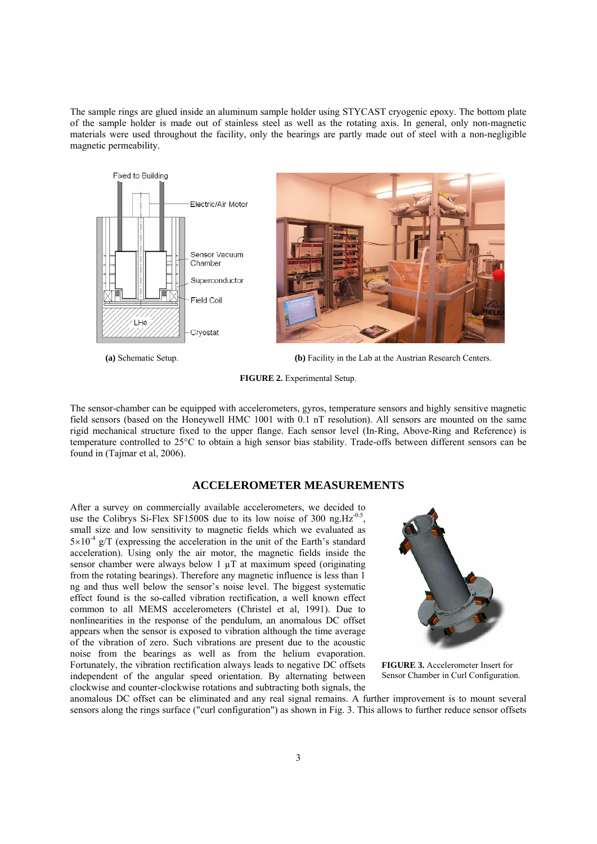The sample rings are glued inside an aluminum sample holder using STYCAST cryogenic epoxy. The bottom plate of the sample holder is made out of stainless steel as well as the rotating axis. In general, only non-magnetic materials were used throughout the facility, only the bearings are partly made out of steel with a non-negligible magnetic permeability.



 **(a)** Schematic Setup. **(b)** Facility in the Lab at the Austrian Research Centers.

**FIGURE 2.** Experimental Setup.

The sensor-chamber can be equipped with accelerometers, gyros, temperature sensors and highly sensitive magnetic field sensors (based on the Honeywell HMC 1001 with 0.1 nT resolution). All sensors are mounted on the same rigid mechanical structure fixed to the upper flange. Each sensor level (In-Ring, Above-Ring and Reference) is temperature controlled to 25°C to obtain a high sensor bias stability. Trade-offs between different sensors can be found in (Tajmar et al, 2006).

## **ACCELEROMETER MEASUREMENTS**

After a survey on commercially available accelerometers, we decided to use the Colibrys Si-Flex SF1500S due to its low noise of 300 ng. $Hz^{-0.5}$ , small size and low sensitivity to magnetic fields which we evaluated as  $5\times10^{-4}$  g/T (expressing the acceleration in the unit of the Earth's standard acceleration). Using only the air motor, the magnetic fields inside the sensor chamber were always below 1  $\mu$ T at maximum speed (originating from the rotating bearings). Therefore any magnetic influence is less than 1 ng and thus well below the sensor's noise level. The biggest systematic effect found is the so-called vibration rectification, a well known effect common to all MEMS accelerometers (Christel et al, 1991). Due to nonlinearities in the response of the pendulum, an anomalous DC offset appears when the sensor is exposed to vibration although the time average of the vibration of zero. Such vibrations are present due to the acoustic noise from the bearings as well as from the helium evaporation. Fortunately, the vibration rectification always leads to negative DC offsets independent of the angular speed orientation. By alternating between clockwise and counter-clockwise rotations and subtracting both signals, the



**FIGURE 3.** Accelerometer Insert for Sensor Chamber in Curl Configuration.

anomalous DC offset can be eliminated and any real signal remains. A further improvement is to mount several sensors along the rings surface ("curl configuration") as shown in Fig. 3. This allows to further reduce sensor offsets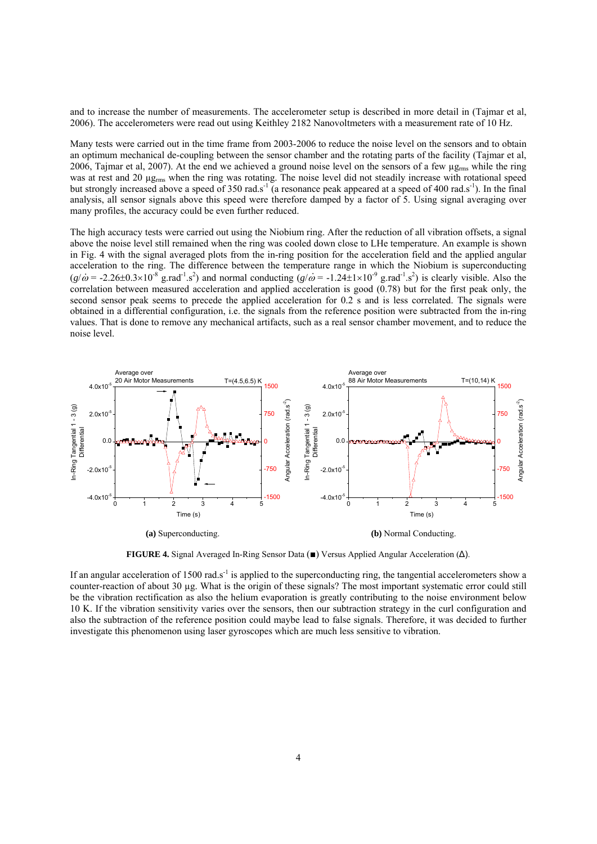and to increase the number of measurements. The accelerometer setup is described in more detail in (Tajmar et al, 2006). The accelerometers were read out using Keithley 2182 Nanovoltmeters with a measurement rate of 10 Hz.

Many tests were carried out in the time frame from 2003-2006 to reduce the noise level on the sensors and to obtain an optimum mechanical de-coupling between the sensor chamber and the rotating parts of the facility (Tajmar et al, 2006, Tajmar et al, 2007). At the end we achieved a ground noise level on the sensors of a few  $\mu_{\rm g_{rms}}$  while the ring was at rest and 20  $\mu$ g<sub>rms</sub> when the ring was rotating. The noise level did not steadily increase with rotational speed but strongly increased above a speed of 350 rad.s<sup>-1</sup> (a resonance peak appeared at a speed of 400 rad.s<sup>-1</sup>). In the final analysis, all sensor signals above this speed were therefore damped by a factor of 5. Using signal averaging over many profiles, the accuracy could be even further reduced.

The high accuracy tests were carried out using the Niobium ring. After the reduction of all vibration offsets, a signal above the noise level still remained when the ring was cooled down close to LHe temperature. An example is shown in Fig. 4 with the signal averaged plots from the in-ring position for the acceleration field and the applied angular acceleration to the ring. The difference between the temperature range in which the Niobium is superconducting  $(g/\omega = -2.26\pm 0.3\times 10^{-8} \text{ g} \cdot \text{rad}^{-1} \cdot \text{s}^2)$  and normal conducting  $(g/\omega = -1.24\pm 1\times 10^{-9} \text{ g} \cdot \text{rad}^{-1} \cdot \text{s}^2)$  is clearly visible. Also the correlation between measured acceleration and applied acceleration is good  $(0.78)$  but for the first peak only, the second sensor peak seems to precede the applied acceleration for 0.2 s and is less correlated. The signals were obtained in a differential configuration, i.e. the signals from the reference position were subtracted from the in-ring values. That is done to remove any mechanical artifacts, such as a real sensor chamber movement, and to reduce the noise level.



**FIGURE 4.** Signal Averaged In-Ring Sensor Data (■) Versus Applied Angular Acceleration (Δ).

If an angular acceleration of 1500 rad.s<sup>-1</sup> is applied to the superconducting ring, the tangential accelerometers show a counter-reaction of about 30 µg. What is the origin of these signals? The most important systematic error could still be the vibration rectification as also the helium evaporation is greatly contributing to the noise environment below 10 K. If the vibration sensitivity varies over the sensors, then our subtraction strategy in the curl configuration and also the subtraction of the reference position could maybe lead to false signals. Therefore, it was decided to further investigate this phenomenon using laser gyroscopes which are much less sensitive to vibration.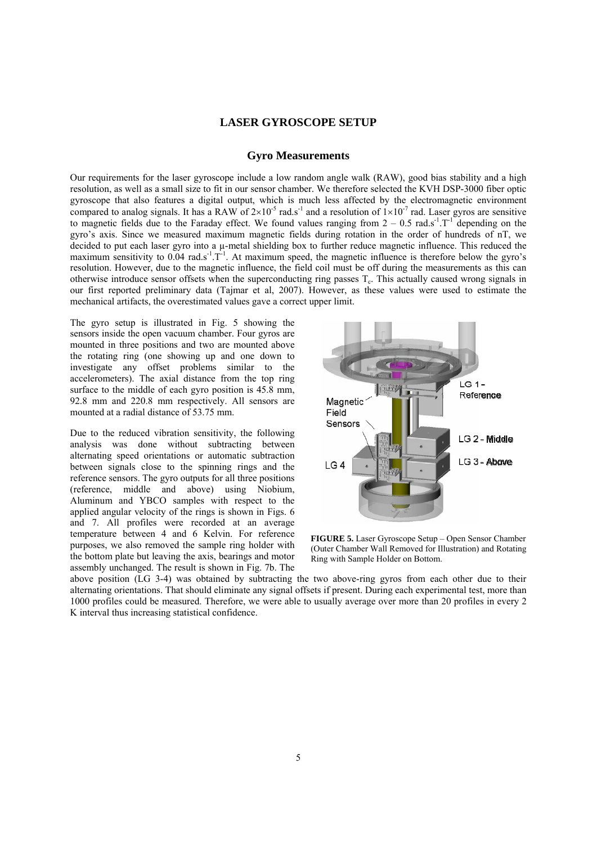## **LASER GYROSCOPE SETUP**

## **Gyro Measurements**

Our requirements for the laser gyroscope include a low random angle walk (RAW), good bias stability and a high resolution, as well as a small size to fit in our sensor chamber. We therefore selected the KVH DSP-3000 fiber optic gyroscope that also features a digital output, which is much less affected by the electromagnetic environment compared to analog signals. It has a RAW of  $2\times10^{-5}$  rad.s<sup>-1</sup> and a resolution of  $1\times10^{-7}$  rad. Laser gyros are sensitive to magnetic fields due to the Faraday effect. We found values ranging from  $2 - 0.5$  rad.s<sup>-1</sup>.T<sup>-1</sup> depending on the gyro's axis. Since we measured maximum magnetic fields during rotation in the order of hundreds of nT, we decided to put each laser gyro into a  $\mu$ -metal shielding box to further reduce magnetic influence. This reduced the maximum sensitivity to  $0.04$  rad.s<sup>-1</sup>.T<sup>-1</sup>. At maximum speed, the magnetic influence is therefore below the gyro's resolution. However, due to the magnetic influence, the field coil must be off during the measurements as this can otherwise introduce sensor offsets when the superconducting ring passes  $T_c$ . This actually caused wrong signals in our first reported preliminary data (Tajmar et al, 2007). However, as these values were used to estimate the mechanical artifacts, the overestimated values gave a correct upper limit.

The gyro setup is illustrated in Fig. 5 showing the sensors inside the open vacuum chamber. Four gyros are mounted in three positions and two are mounted above the rotating ring (one showing up and one down to investigate any offset problems similar to the accelerometers). The axial distance from the top ring surface to the middle of each gyro position is 45.8 mm, 92.8 mm and 220.8 mm respectively. All sensors are mounted at a radial distance of 53.75 mm.

Due to the reduced vibration sensitivity, the following analysis was done without subtracting between alternating speed orientations or automatic subtraction between signals close to the spinning rings and the reference sensors. The gyro outputs for all three positions (reference, middle and above) using Niobium, Aluminum and YBCO samples with respect to the applied angular velocity of the rings is shown in Figs. 6 and 7. All profiles were recorded at an average temperature between 4 and 6 Kelvin. For reference purposes, we also removed the sample ring holder with the bottom plate but leaving the axis, bearings and motor assembly unchanged. The result is shown in Fig. 7b. The



**FIGURE 5.** Laser Gyroscope Setup – Open Sensor Chamber (Outer Chamber Wall Removed for Illustration) and Rotating Ring with Sample Holder on Bottom.

above position (LG 3-4) was obtained by subtracting the two above-ring gyros from each other due to their alternating orientations. That should eliminate any signal offsets if present. During each experimental test, more than 1000 profiles could be measured. Therefore, we were able to usually average over more than 20 profiles in every 2 K interval thus increasing statistical confidence.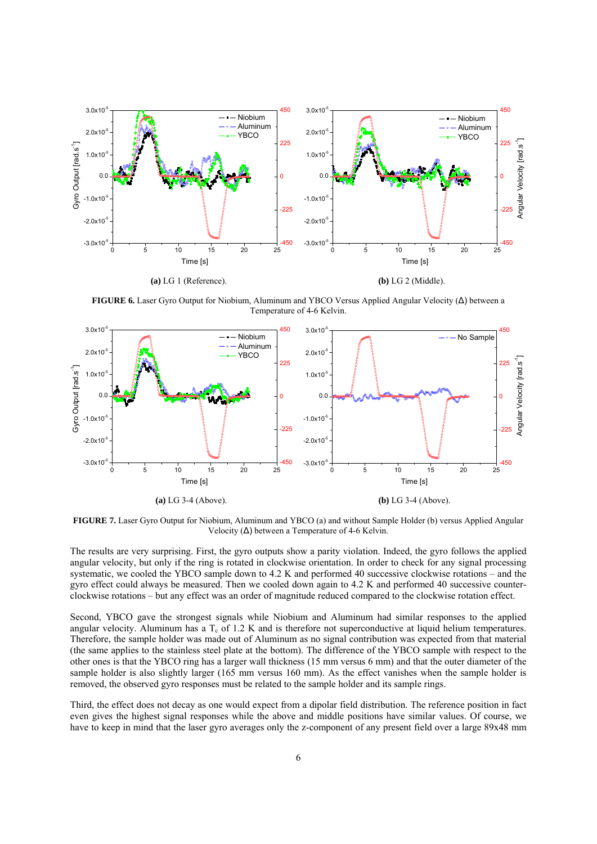

**FIGURE 6.** Laser Gyro Output for Niobium, Aluminum and YBCO Versus Applied Angular Velocity (Δ) between a Temperature of 4-6 Kelvin.



**FIGURE 7.** Laser Gyro Output for Niobium, Aluminum and YBCO (a) and without Sample Holder (b) versus Applied Angular Velocity  $(\Delta)$  between a Temperature of 4-6 Kelvin.

The results are very surprising. First, the gyro outputs show a parity violation. Indeed, the gyro follows the applied angular velocity, but only if the ring is rotated in clockwise orientation. In order to check for any signal processing systematic, we cooled the YBCO sample down to 4.2 K and performed 40 successive clockwise rotations – and the gyro effect could always be measured. Then we cooled down again to 4.2 K and performed 40 successive counterclockwise rotations – but any effect was an order of magnitude reduced compared to the clockwise rotation effect.

Second, YBCO gave the strongest signals while Niobium and Aluminum had similar responses to the applied angular velocity. Aluminum has a  $T_c$  of 1.2 K and is therefore not superconductive at liquid helium temperatures. Therefore, the sample holder was made out of Aluminum as no signal contribution was expected from that material (the same applies to the stainless steel plate at the bottom). The difference of the YBCO sample with respect to the other ones is that the YBCO ring has a larger wall thickness (15 mm versus 6 mm) and that the outer diameter of the sample holder is also slightly larger (165 mm versus 160 mm). As the effect vanishes when the sample holder is removed, the observed gyro responses must be related to the sample holder and its sample rings.

Third, the effect does not decay as one would expect from a dipolar field distribution. The reference position in fact even gives the highest signal responses while the above and middle positions have similar values. Of course, we have to keep in mind that the laser gyro averages only the z-component of any present field over a large 89x48 mm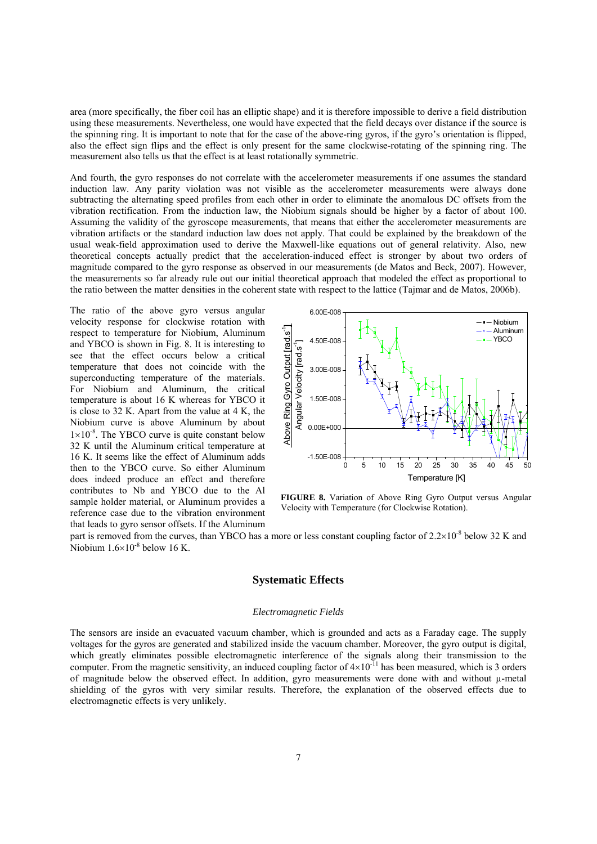area (more specifically, the fiber coil has an elliptic shape) and it is therefore impossible to derive a field distribution using these measurements. Nevertheless, one would have expected that the field decays over distance if the source is the spinning ring. It is important to note that for the case of the above-ring gyros, if the gyro's orientation is flipped, also the effect sign flips and the effect is only present for the same clockwise-rotating of the spinning ring. The measurement also tells us that the effect is at least rotationally symmetric.

And fourth, the gyro responses do not correlate with the accelerometer measurements if one assumes the standard induction law. Any parity violation was not visible as the accelerometer measurements were always done subtracting the alternating speed profiles from each other in order to eliminate the anomalous DC offsets from the vibration rectification. From the induction law, the Niobium signals should be higher by a factor of about 100. Assuming the validity of the gyroscope measurements, that means that either the accelerometer measurements are vibration artifacts or the standard induction law does not apply. That could be explained by the breakdown of the usual weak-field approximation used to derive the Maxwell-like equations out of general relativity. Also, new theoretical concepts actually predict that the acceleration-induced effect is stronger by about two orders of magnitude compared to the gyro response as observed in our measurements (de Matos and Beck, 2007). However, the measurements so far already rule out our initial theoretical approach that modeled the effect as proportional to the ratio between the matter densities in the coherent state with respect to the lattice (Tajmar and de Matos, 2006b).

The ratio of the above gyro versus angular velocity response for clockwise rotation with respect to temperature for Niobium, Aluminum and YBCO is shown in Fig. 8. It is interesting to see that the effect occurs below a critical temperature that does not coincide with the superconducting temperature of the materials. For Niobium and Aluminum, the critical temperature is about 16 K whereas for YBCO it is close to 32 K. Apart from the value at 4 K, the Niobium curve is above Aluminum by about  $1\times10^{-8}$ . The YBCO curve is quite constant below 32 K until the Aluminum critical temperature at 16 K. It seems like the effect of Aluminum adds then to the YBCO curve. So either Aluminum does indeed produce an effect and therefore contributes to Nb and YBCO due to the Al sample holder material, or Aluminum provides a reference case due to the vibration environment that leads to gyro sensor offsets. If the Aluminum



**FIGURE 8.** Variation of Above Ring Gyro Output versus Angular Velocity with Temperature (for Clockwise Rotation).

part is removed from the curves, than YBCO has a more or less constant coupling factor of  $2.2 \times 10^{-8}$  below 32 K and Niobium  $1.6\times10^{-8}$  below 16 K.

## **Systematic Effects**

#### *Electromagnetic Fields*

The sensors are inside an evacuated vacuum chamber, which is grounded and acts as a Faraday cage. The supply voltages for the gyros are generated and stabilized inside the vacuum chamber. Moreover, the gyro output is digital, which greatly eliminates possible electromagnetic interference of the signals along their transmission to the computer. From the magnetic sensitivity, an induced coupling factor of  $4\times10^{-11}$  has been measured, which is 3 orders of magnitude below the observed effect. In addition, gyro measurements were done with and without µ-metal shielding of the gyros with very similar results. Therefore, the explanation of the observed effects due to electromagnetic effects is very unlikely.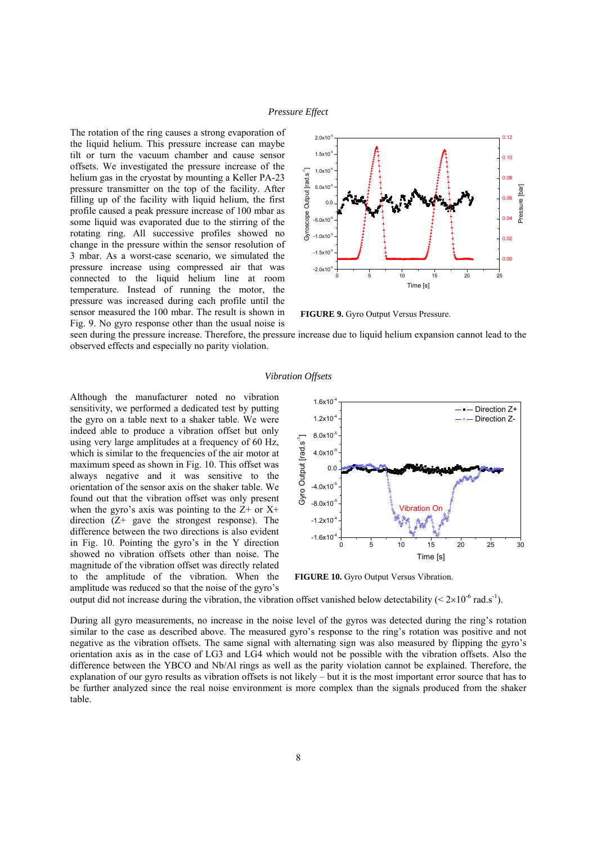#### *Pressure Effect*

The rotation of the ring causes a strong evaporation of the liquid helium. This pressure increase can maybe tilt or turn the vacuum chamber and cause sensor offsets. We investigated the pressure increase of the helium gas in the cryostat by mounting a Keller PA-23 pressure transmitter on the top of the facility. After filling up of the facility with liquid helium, the first profile caused a peak pressure increase of 100 mbar as some liquid was evaporated due to the stirring of the rotating ring. All successive profiles showed no change in the pressure within the sensor resolution of 3 mbar. As a worst-case scenario, we simulated the pressure increase using compressed air that was connected to the liquid helium line at room temperature. Instead of running the motor, the pressure was increased during each profile until the sensor measured the 100 mbar. The result is shown in Fig. 9. No gyro response other than the usual noise is



**FIGURE 9.** Gyro Output Versus Pressure.

seen during the pressure increase. Therefore, the pressure increase due to liquid helium expansion cannot lead to the observed effects and especially no parity violation.

#### *Vibration Offsets*

Although the manufacturer noted no vibration sensitivity, we performed a dedicated test by putting the gyro on a table next to a shaker table. We were indeed able to produce a vibration offset but only using very large amplitudes at a frequency of 60 Hz, which is similar to the frequencies of the air motor at maximum speed as shown in Fig. 10. This offset was always negative and it was sensitive to the orientation of the sensor axis on the shaker table. We found out that the vibration offset was only present when the gyro's axis was pointing to the  $Z$ + or  $X$ + direction  $(Z^{+}$  gave the strongest response). The difference between the two directions is also evident in Fig. 10. Pointing the gyro's in the Y direction showed no vibration offsets other than noise. The magnitude of the vibration offset was directly related to the amplitude of the vibration. When the amplitude was reduced so that the noise of the gyro's



**FIGURE 10.** Gyro Output Versus Vibration.

output did not increase during the vibration, the vibration offset vanished below detectability ( $\leq 2\times10^{-6}$  rad.s<sup>-1</sup>).

During all gyro measurements, no increase in the noise level of the gyros was detected during the ring's rotation similar to the case as described above. The measured gyro's response to the ring's rotation was positive and not negative as the vibration offsets. The same signal with alternating sign was also measured by flipping the gyro's orientation axis as in the case of LG3 and LG4 which would not be possible with the vibration offsets. Also the difference between the YBCO and Nb/Al rings as well as the parity violation cannot be explained. Therefore, the explanation of our gyro results as vibration offsets is not likely – but it is the most important error source that has to be further analyzed since the real noise environment is more complex than the signals produced from the shaker table.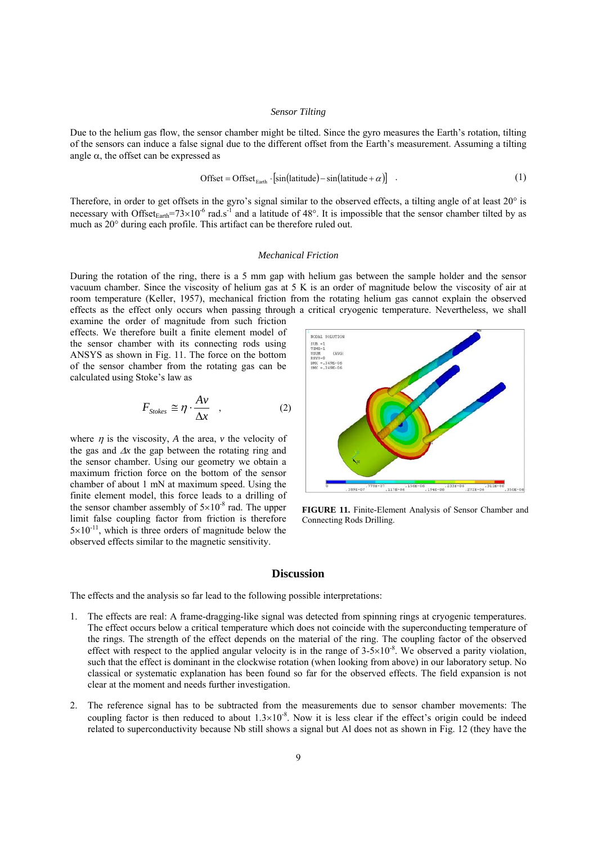#### *Sensor Tilting*

Due to the helium gas flow, the sensor chamber might be tilted. Since the gyro measures the Earth's rotation, tilting of the sensors can induce a false signal due to the different offset from the Earth's measurement. Assuming a tilting angle  $\alpha$ , the offset can be expressed as

$$
\text{Offset} = \text{Offset}_{\text{Earth}} \cdot [\sin(\text{latitude}) - \sin(\text{latitude} + \alpha)] \quad . \tag{1}
$$

Therefore, in order to get offsets in the gyro's signal similar to the observed effects, a tilting angle of at least 20° is necessary with Offset $_{Earth}$ =73×10<sup>-6</sup> rad.s<sup>-1</sup> and a latitude of 48°. It is impossible that the sensor chamber tilted by as much as 20° during each profile. This artifact can be therefore ruled out.

#### *Mechanical Friction*

During the rotation of the ring, there is a 5 mm gap with helium gas between the sample holder and the sensor vacuum chamber. Since the viscosity of helium gas at 5 K is an order of magnitude below the viscosity of air at room temperature (Keller, 1957), mechanical friction from the rotating helium gas cannot explain the observed effects as the effect only occurs when passing through a critical cryogenic temperature. Nevertheless, we shall

examine the order of magnitude from such friction effects. We therefore built a finite element model of the sensor chamber with its connecting rods using ANSYS as shown in Fig. 11. The force on the bottom of the sensor chamber from the rotating gas can be calculated using Stoke's law as

$$
F_{\text{Stokes}} \cong \eta \cdot \frac{A \nu}{\Delta x} \quad , \tag{2}
$$

where  $\eta$  is the viscosity, *A* the area, *v* the velocity of the gas and Δ*x* the gap between the rotating ring and the sensor chamber. Using our geometry we obtain a maximum friction force on the bottom of the sensor chamber of about 1 mN at maximum speed. Using the finite element model, this force leads to a drilling of the sensor chamber assembly of  $5\times10^{-8}$  rad. The upper limit false coupling factor from friction is therefore  $5\times10^{-11}$ , which is three orders of magnitude below the observed effects similar to the magnetic sensitivity.



**FIGURE 11.** Finite-Element Analysis of Sensor Chamber and Connecting Rods Drilling.

#### **Discussion**

The effects and the analysis so far lead to the following possible interpretations:

- 1. The effects are real: A frame-dragging-like signal was detected from spinning rings at cryogenic temperatures. The effect occurs below a critical temperature which does not coincide with the superconducting temperature of the rings. The strength of the effect depends on the material of the ring. The coupling factor of the observed effect with respect to the applied angular velocity is in the range of  $3-5\times10^{-8}$ . We observed a parity violation, such that the effect is dominant in the clockwise rotation (when looking from above) in our laboratory setup. No classical or systematic explanation has been found so far for the observed effects. The field expansion is not clear at the moment and needs further investigation.
- 2. The reference signal has to be subtracted from the measurements due to sensor chamber movements: The coupling factor is then reduced to about  $1.3\times10^{-8}$ . Now it is less clear if the effect's origin could be indeed related to superconductivity because Nb still shows a signal but Al does not as shown in Fig. 12 (they have the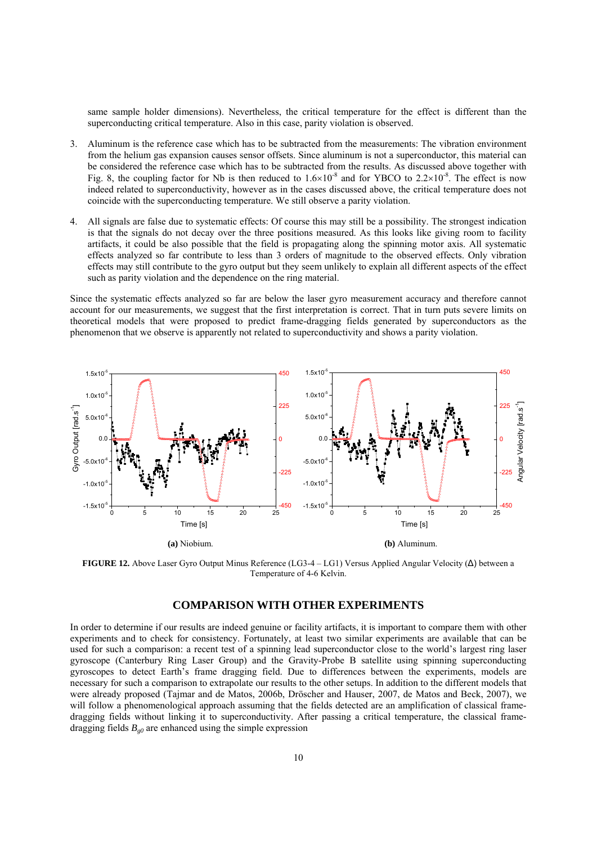same sample holder dimensions). Nevertheless, the critical temperature for the effect is different than the superconducting critical temperature. Also in this case, parity violation is observed.

- 3. Aluminum is the reference case which has to be subtracted from the measurements: The vibration environment from the helium gas expansion causes sensor offsets. Since aluminum is not a superconductor, this material can be considered the reference case which has to be subtracted from the results. As discussed above together with Fig. 8, the coupling factor for Nb is then reduced to  $1.6 \times 10^{-8}$  and for YBCO to  $2.2 \times 10^{-8}$ . The effect is now indeed related to superconductivity, however as in the cases discussed above, the critical temperature does not coincide with the superconducting temperature. We still observe a parity violation.
- 4. All signals are false due to systematic effects: Of course this may still be a possibility. The strongest indication is that the signals do not decay over the three positions measured. As this looks like giving room to facility artifacts, it could be also possible that the field is propagating along the spinning motor axis. All systematic effects analyzed so far contribute to less than 3 orders of magnitude to the observed effects. Only vibration effects may still contribute to the gyro output but they seem unlikely to explain all different aspects of the effect such as parity violation and the dependence on the ring material.

Since the systematic effects analyzed so far are below the laser gyro measurement accuracy and therefore cannot account for our measurements, we suggest that the first interpretation is correct. That in turn puts severe limits on theoretical models that were proposed to predict frame-dragging fields generated by superconductors as the phenomenon that we observe is apparently not related to superconductivity and shows a parity violation.



**FIGURE 12.** Above Laser Gyro Output Minus Reference (LG3-4 – LG1) Versus Applied Angular Velocity (Δ) between a Temperature of 4-6 Kelvin.

## **COMPARISON WITH OTHER EXPERIMENTS**

In order to determine if our results are indeed genuine or facility artifacts, it is important to compare them with other experiments and to check for consistency. Fortunately, at least two similar experiments are available that can be used for such a comparison: a recent test of a spinning lead superconductor close to the world's largest ring laser gyroscope (Canterbury Ring Laser Group) and the Gravity-Probe B satellite using spinning superconducting gyroscopes to detect Earth's frame dragging field. Due to differences between the experiments, models are necessary for such a comparison to extrapolate our results to the other setups. In addition to the different models that were already proposed (Tajmar and de Matos, 2006b, Dröscher and Hauser, 2007, de Matos and Beck, 2007), we will follow a phenomenological approach assuming that the fields detected are an amplification of classical framedragging fields without linking it to superconductivity. After passing a critical temperature, the classical framedragging fields  $B_{g0}$  are enhanced using the simple expression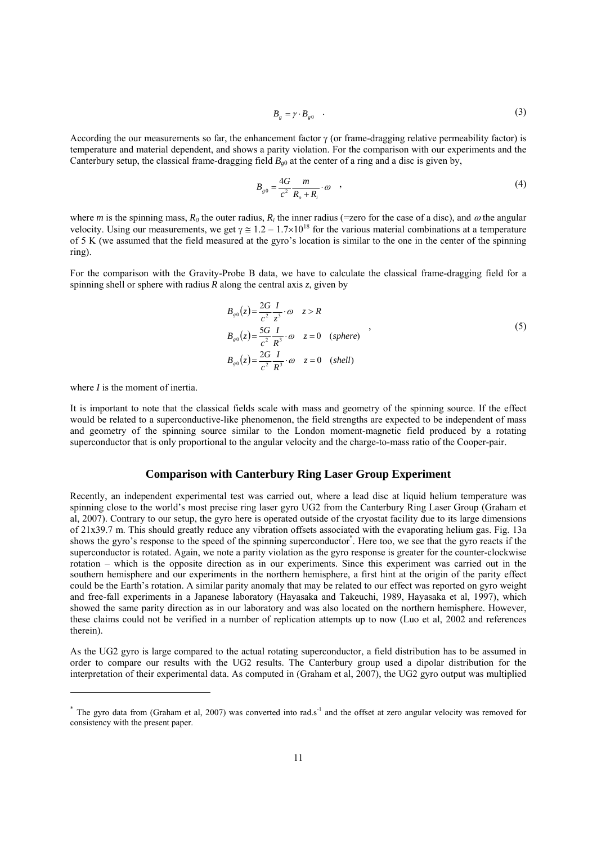$$
B_g = \gamma \cdot B_{g0} \quad . \tag{3}
$$

According the our measurements so far, the enhancement factor  $\gamma$  (or frame-dragging relative permeability factor) is temperature and material dependent, and shows a parity violation. For the comparison with our experiments and the Canterbury setup, the classical frame-dragging field  $B_{\varrho 0}$  at the center of a ring and a disc is given by,

$$
B_{g0} = \frac{4G}{c^2} \frac{m}{R_o + R_i} \cdot \omega \quad , \tag{4}
$$

where *m* is the spinning mass,  $R_0$  the outer radius,  $R_i$  the inner radius (=zero for the case of a disc), and  $\omega$  the angular velocity. Using our measurements, we get  $\gamma \approx 1.2 - 1.7 \times 10^{18}$  for the various material combinations at a temperature of 5 K (we assumed that the field measured at the gyro's location is similar to the one in the center of the spinning ring).

For the comparison with the Gravity-Probe B data, we have to calculate the classical frame-dragging field for a spinning shell or sphere with radius  $R$  along the central axis  $z$ , given by

$$
B_{g0}(z) = \frac{2G}{c^2} \frac{I}{z^3} \cdot \omega \quad z > R
$$
  
\n
$$
B_{g0}(z) = \frac{5G}{c^2} \frac{I}{R^3} \cdot \omega \quad z = 0 \quad (sphere)
$$
  
\n
$$
B_{g0}(z) = \frac{2G}{c^2} \frac{I}{R^3} \cdot \omega \quad z = 0 \quad (shell)
$$

where *I* is the moment of inertia.

1

It is important to note that the classical fields scale with mass and geometry of the spinning source. If the effect would be related to a superconductive-like phenomenon, the field strengths are expected to be independent of mass and geometry of the spinning source similar to the London moment-magnetic field produced by a rotating superconductor that is only proportional to the angular velocity and the charge-to-mass ratio of the Cooper-pair.

## **Comparison with Canterbury Ring Laser Group Experiment**

Recently, an independent experimental test was carried out, where a lead disc at liquid helium temperature was spinning close to the world's most precise ring laser gyro UG2 from the Canterbury Ring Laser Group (Graham et al, 2007). Contrary to our setup, the gyro here is operated outside of the cryostat facility due to its large dimensions of 21x39.7 m. This should greatly reduce any vibration offsets associated with the evaporating helium gas. Fig. 13a shows the gyro's response to the speed of the spinning superconductor\* . Here too, we see that the gyro reacts if the superconductor is rotated. Again, we note a parity violation as the gyro response is greater for the counter-clockwise rotation – which is the opposite direction as in our experiments. Since this experiment was carried out in the southern hemisphere and our experiments in the northern hemisphere, a first hint at the origin of the parity effect could be the Earth's rotation. A similar parity anomaly that may be related to our effect was reported on gyro weight and free-fall experiments in a Japanese laboratory (Hayasaka and Takeuchi, 1989, Hayasaka et al, 1997), which showed the same parity direction as in our laboratory and was also located on the northern hemisphere. However, these claims could not be verified in a number of replication attempts up to now (Luo et al, 2002 and references therein).

As the UG2 gyro is large compared to the actual rotating superconductor, a field distribution has to be assumed in order to compare our results with the UG2 results. The Canterbury group used a dipolar distribution for the interpretation of their experimental data. As computed in (Graham et al, 2007), the UG2 gyro output was multiplied

 $*$  The gyro data from (Graham et al, 2007) was converted into rad.s<sup>-1</sup> and the offset at zero angular velocity was removed for consistency with the present paper.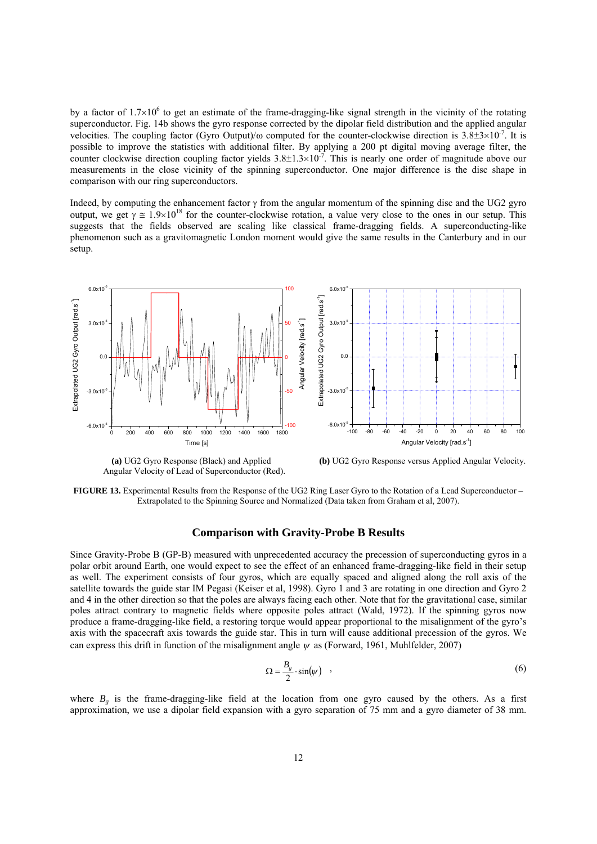by a factor of  $1.7 \times 10^6$  to get an estimate of the frame-dragging-like signal strength in the vicinity of the rotating superconductor. Fig. 14b shows the gyro response corrected by the dipolar field distribution and the applied angular velocities. The coupling factor (Gyro Output)/ $\omega$  computed for the counter-clockwise direction is 3.8±3×10<sup>-7</sup>. It is possible to improve the statistics with additional filter. By applying a 200 pt digital moving average filter, the counter clockwise direction coupling factor yields  $3.8\pm1.3\times10^{-7}$ . This is nearly one order of magnitude above our measurements in the close vicinity of the spinning superconductor. One major difference is the disc shape in comparison with our ring superconductors.

Indeed, by computing the enhancement factor  $\gamma$  from the angular momentum of the spinning disc and the UG2 gyro output, we get  $\gamma \approx 1.9\times10^{18}$  for the counter-clockwise rotation, a value very close to the ones in our setup. This suggests that the fields observed are scaling like classical frame-dragging fields. A superconducting-like phenomenon such as a gravitomagnetic London moment would give the same results in the Canterbury and in our setup.



Angular Velocity of Lead of Superconductor (Red).

 **(a)** UG2 Gyro Response (Black) and Applied **(b)** UG2 Gyro Response versus Applied Angular Velocity.

**FIGURE 13.** Experimental Results from the Response of the UG2 Ring Laser Gyro to the Rotation of a Lead Superconductor – Extrapolated to the Spinning Source and Normalized (Data taken from Graham et al, 2007).

## **Comparison with Gravity-Probe B Results**

Since Gravity-Probe B (GP-B) measured with unprecedented accuracy the precession of superconducting gyros in a polar orbit around Earth, one would expect to see the effect of an enhanced frame-dragging-like field in their setup as well. The experiment consists of four gyros, which are equally spaced and aligned along the roll axis of the satellite towards the guide star IM Pegasi (Keiser et al, 1998). Gyro 1 and 3 are rotating in one direction and Gyro 2 and 4 in the other direction so that the poles are always facing each other. Note that for the gravitational case, similar poles attract contrary to magnetic fields where opposite poles attract (Wald, 1972). If the spinning gyros now produce a frame-dragging-like field, a restoring torque would appear proportional to the misalignment of the gyro's axis with the spacecraft axis towards the guide star. This in turn will cause additional precession of the gyros. We can express this drift in function of the misalignment angle <sup>ψ</sup>as (Forward, 1961, Muhlfelder, 2007)

$$
\Omega = \frac{B_g}{2} \cdot \sin(\psi) \quad , \tag{6}
$$

where  $B_{\rho}$  is the frame-dragging-like field at the location from one gyro caused by the others. As a first approximation, we use a dipolar field expansion with a gyro separation of 75 mm and a gyro diameter of 38 mm.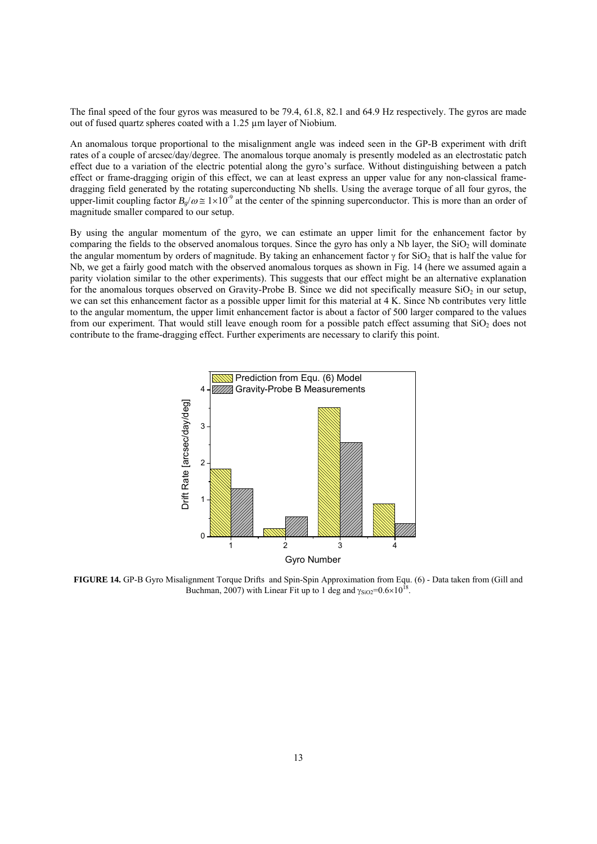The final speed of the four gyros was measured to be 79.4, 61.8, 82.1 and 64.9 Hz respectively. The gyros are made out of fused quartz spheres coated with a 1.25 µm layer of Niobium.

An anomalous torque proportional to the misalignment angle was indeed seen in the GP-B experiment with drift rates of a couple of arcsec/day/degree. The anomalous torque anomaly is presently modeled as an electrostatic patch effect due to a variation of the electric potential along the gyro's surface. Without distinguishing between a patch effect or frame-dragging origin of this effect, we can at least express an upper value for any non-classical framedragging field generated by the rotating superconducting Nb shells. Using the average torque of all four gyros, the upper-limit coupling factor  $B_{\nu}/\omega \approx 1\times10^{-9}$  at the center of the spinning superconductor. This is more than an order of magnitude smaller compared to our setup.

By using the angular momentum of the gyro, we can estimate an upper limit for the enhancement factor by comparing the fields to the observed anomalous torques. Since the gyro has only a Nb layer, the  $SiO<sub>2</sub>$  will dominate the angular momentum by orders of magnitude. By taking an enhancement factor  $\gamma$  for SiO<sub>2</sub> that is half the value for Nb, we get a fairly good match with the observed anomalous torques as shown in Fig. 14 (here we assumed again a parity violation similar to the other experiments). This suggests that our effect might be an alternative explanation for the anomalous torques observed on Gravity-Probe B. Since we did not specifically measure  $SiO<sub>2</sub>$  in our setup, we can set this enhancement factor as a possible upper limit for this material at 4 K. Since Nb contributes very little to the angular momentum, the upper limit enhancement factor is about a factor of 500 larger compared to the values from our experiment. That would still leave enough room for a possible patch effect assuming that  $SiO<sub>2</sub>$  does not contribute to the frame-dragging effect. Further experiments are necessary to clarify this point.



**FIGURE 14.** GP-B Gyro Misalignment Torque Drifts and Spin-Spin Approximation from Equ. (6) - Data taken from (Gill and Buchman, 2007) with Linear Fit up to 1 deg and  $\gamma_{SiO2} = 0.6 \times 10^{18}$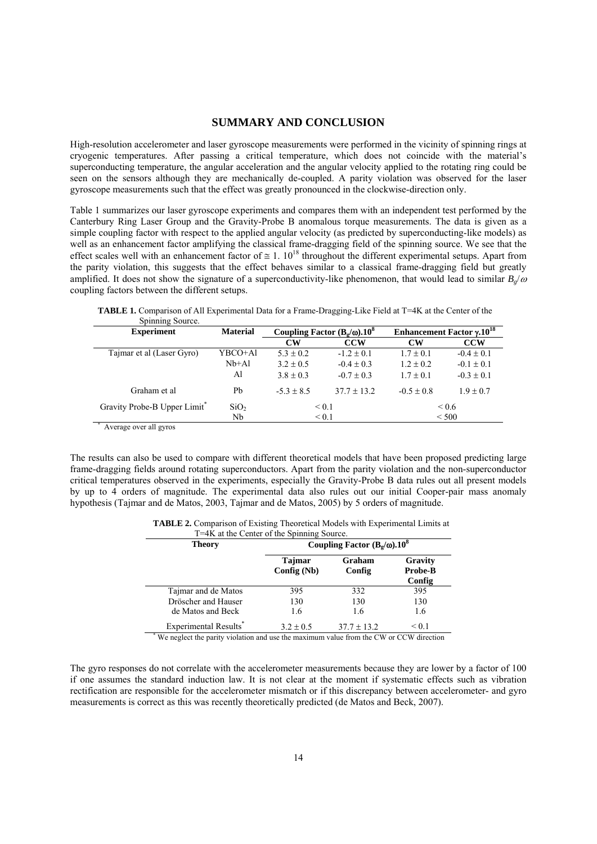## **SUMMARY AND CONCLUSION**

High-resolution accelerometer and laser gyroscope measurements were performed in the vicinity of spinning rings at cryogenic temperatures. After passing a critical temperature, which does not coincide with the material's superconducting temperature, the angular acceleration and the angular velocity applied to the rotating ring could be seen on the sensors although they are mechanically de-coupled. A parity violation was observed for the laser gyroscope measurements such that the effect was greatly pronounced in the clockwise-direction only.

Table 1 summarizes our laser gyroscope experiments and compares them with an independent test performed by the Canterbury Ring Laser Group and the Gravity-Probe B anomalous torque measurements. The data is given as a simple coupling factor with respect to the applied angular velocity (as predicted by superconducting-like models) as well as an enhancement factor amplifying the classical frame-dragging field of the spinning source. We see that the effect scales well with an enhancement factor of  $\approx 1.10^{18}$  throughout the different experimental setups. Apart from the parity violation, this suggests that the effect behaves similar to a classical frame-dragging field but greatly amplified. It does not show the signature of a superconductivity-like phenomenon, that would lead to similar  $B_{\varrho}/\omega$ coupling factors between the different setups.

| Spinning Source.                         |                  |                                                        |                 |                                               |                |
|------------------------------------------|------------------|--------------------------------------------------------|-----------------|-----------------------------------------------|----------------|
| <b>Experiment</b>                        | <b>Material</b>  | Coupling Factor $(B_{\alpha}/\omega)$ .10 <sup>8</sup> |                 | Enhancement Factor $\gamma$ .10 <sup>18</sup> |                |
|                                          |                  | <b>CW</b>                                              | <b>CCW</b>      | <b>CW</b>                                     | <b>CCW</b>     |
| Tajmar et al (Laser Gyro)                | YBCO+Al          | $5.3 \pm 0.2$                                          | $-1.2 \pm 0.1$  | $1.7 \pm 0.1$                                 | $-0.4 \pm 0.1$ |
|                                          | $Nb + Al$        | $3.2 \pm 0.5$                                          | $-0.4 \pm 0.3$  | $1.2 \pm 0.2$                                 | $-0.1 \pm 0.1$ |
|                                          | Al               | $3.8 \pm 0.3$                                          | $-0.7 \pm 0.3$  | $1.7 \pm 0.1$                                 | $-0.3 \pm 0.1$ |
| Graham et al                             | Pb               | $-5.3 \pm 8.5$                                         | $37.7 \pm 13.2$ | $-0.5 \pm 0.8$                                | $1.9 \pm 0.7$  |
| Gravity Probe-B Upper Limit <sup>*</sup> | SiO <sub>2</sub> | ${}_{0.1}$<br>${}_{0.1}$                               |                 | ${}^{<}0.6$                                   |                |
|                                          | Nb               |                                                        |                 | < 500                                         |                |
| Average over all overage                 |                  |                                                        |                 |                                               |                |

**TABLE 1.** Comparison of All Experimental Data for a Frame-Dragging-Like Field at T=4K at the Center of the Spinning Source.

Average over all gyros

The results can also be used to compare with different theoretical models that have been proposed predicting large frame-dragging fields around rotating superconductors. Apart from the parity violation and the non-superconductor critical temperatures observed in the experiments, especially the Gravity-Probe B data rules out all present models by up to 4 orders of magnitude. The experimental data also rules out our initial Cooper-pair mass anomaly hypothesis (Tajmar and de Matos, 2003, Tajmar and de Matos, 2005) by 5 orders of magnitude.

| <b>TABLE 2.</b> Comparison of Existing Theoretical Models with Experimental Limits at |  |
|---------------------------------------------------------------------------------------|--|
| T=4K at the Center of the Spinning Source.                                            |  |

| <b>Theory</b>                                                                          | Coupling Factor $(B_g/\omega)$ .10 <sup>8</sup> |                  |                              |  |  |
|----------------------------------------------------------------------------------------|-------------------------------------------------|------------------|------------------------------|--|--|
|                                                                                        | <b>Tajmar</b><br>Config (Nb)                    | Graham<br>Config | Gravity<br>Probe-B<br>Config |  |  |
| Tajmar and de Matos                                                                    | 395                                             | 332              | 395                          |  |  |
| Dröscher and Hauser                                                                    | 130                                             | 130              | 130                          |  |  |
| de Matos and Beck                                                                      | 1.6                                             | 1.6              | 1.6                          |  |  |
| Experimental Results <sup>*</sup>                                                      | $3.2 \pm 0.5$                                   | $37.7 \pm 13.2$  | ${}_{0.1}$                   |  |  |
| We neglect the parity violation and use the maximum value from the CW or CCW direction |                                                 |                  |                              |  |  |

The gyro responses do not correlate with the accelerometer measurements because they are lower by a factor of 100 if one assumes the standard induction law. It is not clear at the moment if systematic effects such as vibration rectification are responsible for the accelerometer mismatch or if this discrepancy between accelerometer- and gyro measurements is correct as this was recently theoretically predicted (de Matos and Beck, 2007).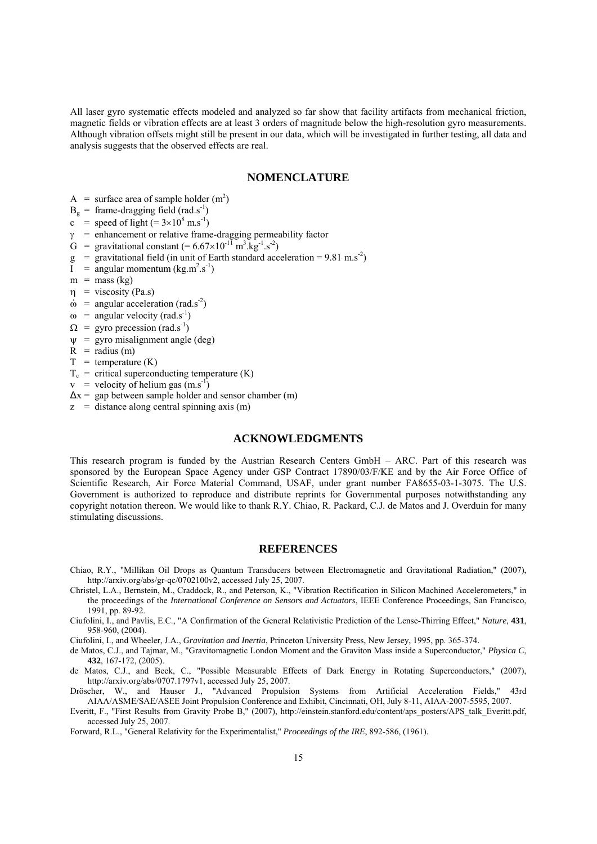All laser gyro systematic effects modeled and analyzed so far show that facility artifacts from mechanical friction, magnetic fields or vibration effects are at least 3 orders of magnitude below the high-resolution gyro measurements. Although vibration offsets might still be present in our data, which will be investigated in further testing, all data and analysis suggests that the observed effects are real.

#### **NOMENCLATURE**

- A = surface area of sample holder  $(m^2)$
- $B_g$  = frame-dragging field (rad.s<sup>-1</sup>)
- c = speed of light  $(=3\times10^8 \text{ m.s}^{-1})$
- $\gamma$  = enhancement or relative frame-dragging permeability factor
- G = gravitational constant  $(= 6.67 \times 10^{-11} \text{ m}^3.\text{kg}^{-1}.\text{s}^{-2})$
- $g =$  gravitational field (in unit of Earth standard acceleration = 9.81 m.s<sup>-2</sup>)
- $I = \text{angular momentum} (kg.m^2.s^{-1})$
- $m =$  mass (kg)
- $\eta$  = viscosity (Pa.s)
- $\dot{\omega}$  = angular acceleration (rad.s<sup>-2</sup>)
- $\omega$  = angular velocity (rad.s<sup>-1</sup>)
- $\Omega$  = gyro precession (rad.s<sup>-1</sup>)
- $\psi$  = gyro misalignment angle (deg)
- $R =$  radius (m)
- $T =$  temperature  $(K)$
- $T_c$  = critical superconducting temperature (K)
- $v =$  velocity of helium gas  $(m.s^{-1})$
- $\Delta x =$  gap between sample holder and sensor chamber (m)
- $z =$  distance along central spinning axis (m)

## **ACKNOWLEDGMENTS**

This research program is funded by the Austrian Research Centers GmbH – ARC. Part of this research was sponsored by the European Space Agency under GSP Contract 17890/03/F/KE and by the Air Force Office of Scientific Research, Air Force Material Command, USAF, under grant number FA8655-03-1-3075. The U.S. Government is authorized to reproduce and distribute reprints for Governmental purposes notwithstanding any copyright notation thereon. We would like to thank R.Y. Chiao, R. Packard, C.J. de Matos and J. Overduin for many stimulating discussions.

#### **REFERENCES**

- Chiao, R.Y., "Millikan Oil Drops as Quantum Transducers between Electromagnetic and Gravitational Radiation," (2007), http://arxiv.org/abs/gr-qc/0702100v2, accessed July 25, 2007.
- Christel, L.A., Bernstein, M., Craddock, R., and Peterson, K., "Vibration Rectification in Silicon Machined Accelerometers," in the proceedings of the *International Conference on Sensors and Actuators*, IEEE Conference Proceedings, San Francisco, 1991, pp. 89-92.
- Ciufolini, I., and Pavlis, E.C., "A Confirmation of the General Relativistic Prediction of the Lense-Thirring Effect," *Nature*, **431**, 958-960, (2004).

Ciufolini, I., and Wheeler, J.A., *Gravitation and Inertia*, Princeton University Press, New Jersey, 1995, pp. 365-374.

- de Matos, C.J., and Tajmar, M., "Gravitomagnetic London Moment and the Graviton Mass inside a Superconductor," *Physica C*, **432**, 167-172, (2005).
- de Matos, C.J., and Beck, C., "Possible Measurable Effects of Dark Energy in Rotating Superconductors," (2007), http://arxiv.org/abs/0707.1797v1, accessed July 25, 2007.
- Dröscher, W., and Hauser J., "Advanced Propulsion Systems from Artificial Acceleration Fields," 43rd AIAA/ASME/SAE/ASEE Joint Propulsion Conference and Exhibit, Cincinnati, OH, July 8-11, AIAA-2007-5595, 2007.
- Everitt, F., "First Results from Gravity Probe B," (2007), http://einstein.stanford.edu/content/aps\_posters/APS\_talk\_Everitt.pdf, accessed July 25, 2007.

Forward, R.L., "General Relativity for the Experimentalist," *Proceedings of the IRE*, 892-586, (1961).